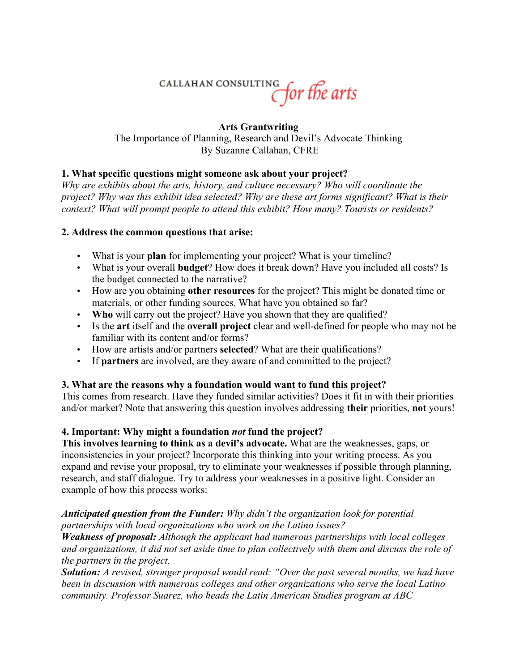# CALLAHAN CONSULTING for the arts

#### **Arts Grantwriting**

The Importance of Planning, Research and Devil's Advocate Thinking By Suzanne Callahan, CFRE

## **1. What specific questions might someone ask about your project?**

*Why are exhibits about the arts, history, and culture necessary? Who will coordinate the project? Why was this exhibit idea selected? Why are these art forms significant? What is their context? What will prompt people to attend this exhibit? How many? Tourists or residents?*

## **2. Address the common questions that arise:**

- What is your **plan** for implementing your project? What is your timeline?
- What is your overall **budget**? How does it break down? Have you included all costs? Is the budget connected to the narrative?
- How are you obtaining **other resources** for the project? This might be donated time or materials, or other funding sources. What have you obtained so far?
- **Who** will carry out the project? Have you shown that they are qualified?
- Is the **art** itself and the **overall project** clear and well-defined for people who may not be familiar with its content and/or forms?
- How are artists and/or partners **selected**? What are their qualifications?
- If **partners** are involved, are they aware of and committed to the project?

# **3. What are the reasons why a foundation would want to fund this project?**

This comes from research. Have they funded similar activities? Does it fit in with their priorities and/or market? Note that answering this question involves addressing **their** priorities, **not** yours!

# **4. Important: Why might a foundation** *not* **fund the project?**

**This involves learning to think as a devil's advocate.** What are the weaknesses, gaps, or inconsistencies in your project? Incorporate this thinking into your writing process. As you expand and revise your proposal, try to eliminate your weaknesses if possible through planning, research, and staff dialogue. Try to address your weaknesses in a positive light. Consider an example of how this process works:

#### *Anticipated question from the Funder: Why didn't the organization look for potential partnerships with local organizations who work on the Latino issues?*

*Weakness of proposal: Although the applicant had numerous partnerships with local colleges and organizations, it did not set aside time to plan collectively with them and discuss the role of the partners in the project.*

*Solution: A revised, stronger proposal would read: "Over the past several months, we had have been in discussion with numerous colleges and other organizations who serve the local Latino community. Professor Suarez, who heads the Latin American Studies program at ABC*